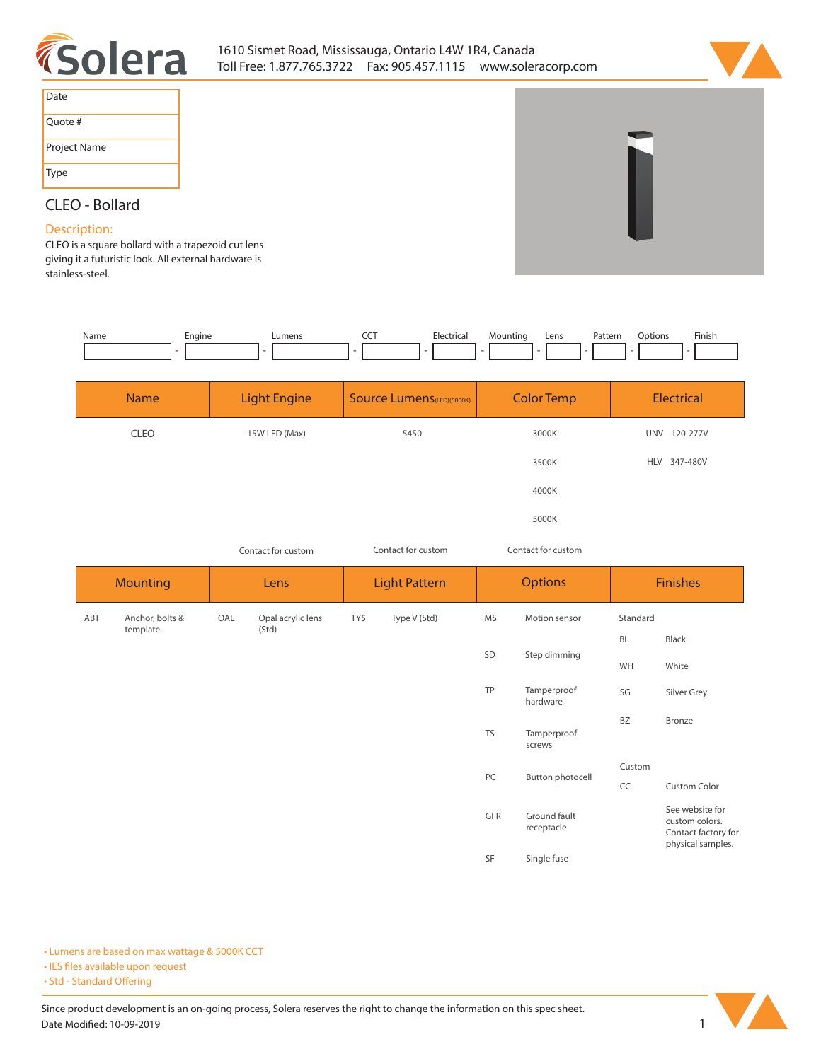



| Date         |
|--------------|
| Quote #      |
| Project Name |
| Type         |

## **CLEO - Bollard**

## **Description:**

**CLEO is a square bollard with a trapezoid cut lens giving it a futuristic look. All external hardware is stainless-steel.** 

| Name | Engine | ∟umens | --- | Electrical | Mountina<br>- | Lens | Pattern | Dptions | Finish |
|------|--------|--------|-----|------------|---------------|------|---------|---------|--------|
|      |        |        |     |            |               |      |         |         |        |

| <b>Name</b> | <b>Light Engine</b> | <b>Source Lumens (LED)(5000K)</b> | <b>Color Temp</b> | Electrical             |
|-------------|---------------------|-----------------------------------|-------------------|------------------------|
| <b>CLEO</b> | 15W LED (Max)       | 5450                              | 3000K             | 120-277V<br><b>UNV</b> |
|             |                     |                                   | 3500K             | HLV 347-480V           |
|             |                     |                                   | 4000K             |                        |
|             |                     |                                   | 5000K             |                        |

*Contact for custom Contact for custom*

*Contact for custom*

| <b>Mounting</b> |                 | Lens |                   | <b>Light Pattern</b> |              | <b>Options</b> |                            | <b>Finishes</b> |                                                                               |
|-----------------|-----------------|------|-------------------|----------------------|--------------|----------------|----------------------------|-----------------|-------------------------------------------------------------------------------|
| ABT             | Anchor, bolts & | OAL  | Opal acrylic lens | TY5                  | Type V (Std) | MS             | Motion sensor              | Standard        |                                                                               |
|                 | template        |      | (Std)             |                      |              |                | Step dimming               | <b>BL</b>       | Black                                                                         |
|                 |                 |      |                   |                      |              | SD             |                            | WH              | White                                                                         |
|                 |                 |      |                   |                      |              | TP             | Tamperproof<br>hardware    | SG              | Silver Grey                                                                   |
|                 |                 |      |                   |                      |              | <b>TS</b>      | Tamperproof<br>screws      | BZ              | Bronze                                                                        |
|                 |                 |      |                   |                      |              | PC             | Button photocell           | Custom          |                                                                               |
|                 |                 |      |                   |                      |              |                |                            | CC              | Custom Color                                                                  |
|                 |                 |      |                   |                      |              | GFR            | Ground fault<br>receptacle |                 | See website for<br>custom colors.<br>Contact factory for<br>physical samples. |
|                 |                 |      |                   |                      |              | SF             | Single fuse                |                 |                                                                               |

**• Lumens are based on max wattage & 5000K CCT**

**• IES files available upon request** 

• Std - Standard Offering

Since product development is an on-going process, Solera reserves the right to change the information on this spec sheet. **Date Modified: 10-09-2019** 1